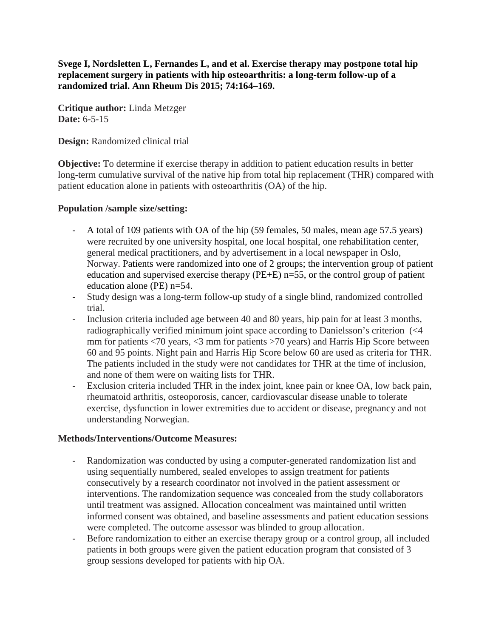**Svege I, Nordsletten L, Fernandes L, and et al. Exercise therapy may postpone total hip replacement surgery in patients with hip osteoarthritis: a long-term follow-up of a randomized trial. Ann Rheum Dis 2015; 74:164–169.**

**Critique author:** Linda Metzger **Date:** 6-5-15

**Design:** Randomized clinical trial

**Objective:** To determine if exercise therapy in addition to patient education results in better long-term cumulative survival of the native hip from total hip replacement (THR) compared with patient education alone in patients with osteoarthritis (OA) of the hip.

## **Population /sample size/setting:**

- A total of 109 patients with OA of the hip (59 females, 50 males, mean age 57.5 years) were recruited by one university hospital, one local hospital, one rehabilitation center, general medical practitioners, and by advertisement in a local newspaper in Oslo, Norway. Patients were randomized into one of 2 groups; the intervention group of patient education and supervised exercise therapy (PE+E) n=55, or the control group of patient education alone (PE) n=54.
- Study design was a long-term follow-up study of a single blind, randomized controlled trial.
- Inclusion criteria included age between 40 and 80 years, hip pain for at least 3 months, radiographically verified minimum joint space according to Danielsson's criterion (<4 mm for patients <70 years, <3 mm for patients >70 years) and Harris Hip Score between 60 and 95 points. Night pain and Harris Hip Score below 60 are used as criteria for THR. The patients included in the study were not candidates for THR at the time of inclusion, and none of them were on waiting lists for THR.
- Exclusion criteria included THR in the index joint, knee pain or knee OA, low back pain, rheumatoid arthritis, osteoporosis, cancer, cardiovascular disease unable to tolerate exercise, dysfunction in lower extremities due to accident or disease, pregnancy and not understanding Norwegian.

## **Methods/Interventions/Outcome Measures:**

- Randomization was conducted by using a computer-generated randomization list and using sequentially numbered, sealed envelopes to assign treatment for patients consecutively by a research coordinator not involved in the patient assessment or interventions. The randomization sequence was concealed from the study collaborators until treatment was assigned. Allocation concealment was maintained until written informed consent was obtained, and baseline assessments and patient education sessions were completed. The outcome assessor was blinded to group allocation.
- Before randomization to either an exercise therapy group or a control group, all included patients in both groups were given the patient education program that consisted of 3 group sessions developed for patients with hip OA.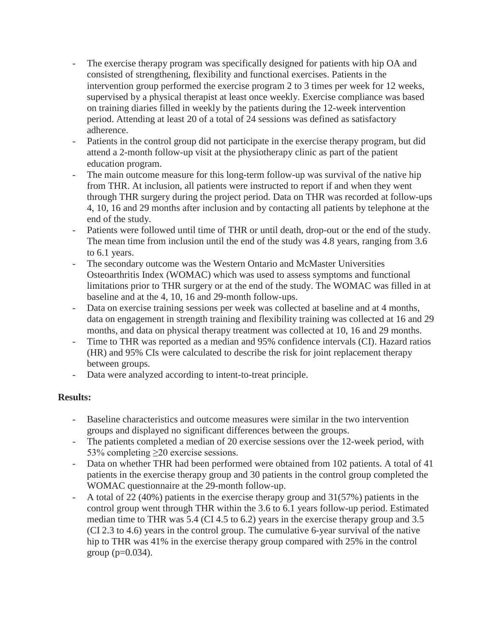- The exercise therapy program was specifically designed for patients with hip OA and consisted of strengthening, flexibility and functional exercises. Patients in the intervention group performed the exercise program 2 to 3 times per week for 12 weeks, supervised by a physical therapist at least once weekly. Exercise compliance was based on training diaries filled in weekly by the patients during the 12-week intervention period. Attending at least 20 of a total of 24 sessions was defined as satisfactory adherence.
- Patients in the control group did not participate in the exercise therapy program, but did attend a 2-month follow-up visit at the physiotherapy clinic as part of the patient education program.
- The main outcome measure for this long-term follow-up was survival of the native hip from THR. At inclusion, all patients were instructed to report if and when they went through THR surgery during the project period. Data on THR was recorded at follow-ups 4, 10, 16 and 29 months after inclusion and by contacting all patients by telephone at the end of the study.
- Patients were followed until time of THR or until death, drop-out or the end of the study. The mean time from inclusion until the end of the study was 4.8 years, ranging from 3.6 to 6.1 years.
- The secondary outcome was the Western Ontario and McMaster Universities Osteoarthritis Index (WOMAC) which was used to assess symptoms and functional limitations prior to THR surgery or at the end of the study. The WOMAC was filled in at baseline and at the 4, 10, 16 and 29-month follow-ups.
- Data on exercise training sessions per week was collected at baseline and at 4 months, data on engagement in strength training and flexibility training was collected at 16 and 29 months, and data on physical therapy treatment was collected at 10, 16 and 29 months.
- Time to THR was reported as a median and 95% confidence intervals (CI). Hazard ratios (HR) and 95% CIs were calculated to describe the risk for joint replacement therapy between groups.
- Data were analyzed according to intent-to-treat principle.

## **Results:**

- Baseline characteristics and outcome measures were similar in the two intervention groups and displayed no significant differences between the groups.
- The patients completed a median of 20 exercise sessions over the 12-week period, with 53% completing >20 exercise sessions.
- Data on whether THR had been performed were obtained from 102 patients. A total of 41 patients in the exercise therapy group and 30 patients in the control group completed the WOMAC questionnaire at the 29-month follow-up.
- A total of 22 (40%) patients in the exercise therapy group and 31(57%) patients in the control group went through THR within the 3.6 to 6.1 years follow-up period. Estimated median time to THR was 5.4 (CI 4.5 to 6.2) years in the exercise therapy group and 3.5 (CI 2.3 to 4.6) years in the control group. The cumulative 6-year survival of the native hip to THR was 41% in the exercise therapy group compared with 25% in the control group  $(p=0.034)$ .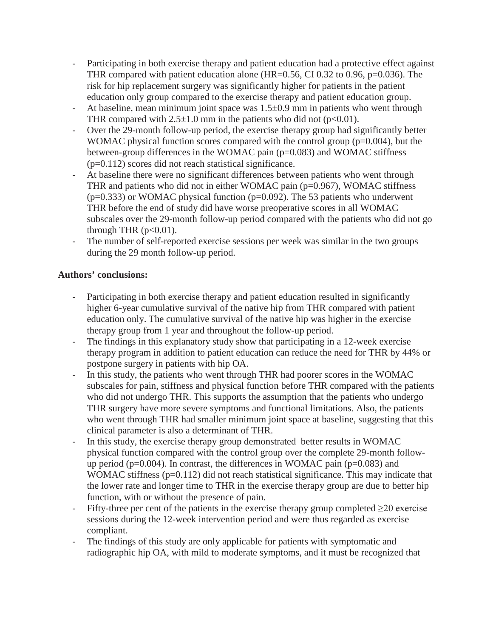- Participating in both exercise therapy and patient education had a protective effect against THR compared with patient education alone (HR=0.56, CI 0.32 to 0.96,  $p=0.036$ ). The risk for hip replacement surgery was significantly higher for patients in the patient education only group compared to the exercise therapy and patient education group.
- At baseline, mean minimum joint space was  $1.5\pm 0.9$  mm in patients who went through THR compared with  $2.5\pm1.0$  mm in the patients who did not (p<0.01).
- Over the 29-month follow-up period, the exercise therapy group had significantly better WOMAC physical function scores compared with the control group (p=0.004), but the between-group differences in the WOMAC pain (p=0.083) and WOMAC stiffness (p=0.112) scores did not reach statistical significance.
- At baseline there were no significant differences between patients who went through THR and patients who did not in either WOMAC pain (p=0.967), WOMAC stiffness  $(p=0.333)$  or WOMAC physical function  $(p=0.092)$ . The 53 patients who underwent THR before the end of study did have worse preoperative scores in all WOMAC subscales over the 29-month follow-up period compared with the patients who did not go through THR  $(p<0.01)$ .
- The number of self-reported exercise sessions per week was similar in the two groups during the 29 month follow-up period.

## **Authors' conclusions:**

- Participating in both exercise therapy and patient education resulted in significantly higher 6-year cumulative survival of the native hip from THR compared with patient education only. The cumulative survival of the native hip was higher in the exercise therapy group from 1 year and throughout the follow-up period.
- The findings in this explanatory study show that participating in a 12-week exercise therapy program in addition to patient education can reduce the need for THR by 44% or postpone surgery in patients with hip OA.
- In this study, the patients who went through THR had poorer scores in the WOMAC subscales for pain, stiffness and physical function before THR compared with the patients who did not undergo THR. This supports the assumption that the patients who undergo THR surgery have more severe symptoms and functional limitations. Also, the patients who went through THR had smaller minimum joint space at baseline, suggesting that this clinical parameter is also a determinant of THR.
- In this study, the exercise therapy group demonstrated better results in WOMAC physical function compared with the control group over the complete 29-month followup period ( $p=0.004$ ). In contrast, the differences in WOMAC pain ( $p=0.083$ ) and WOMAC stiffness  $(p=0.112)$  did not reach statistical significance. This may indicate that the lower rate and longer time to THR in the exercise therapy group are due to better hip function, with or without the presence of pain.
- Fifty-three per cent of the patients in the exercise therapy group completed  $\geq 20$  exercise sessions during the 12-week intervention period and were thus regarded as exercise compliant.
- The findings of this study are only applicable for patients with symptomatic and radiographic hip OA, with mild to moderate symptoms, and it must be recognized that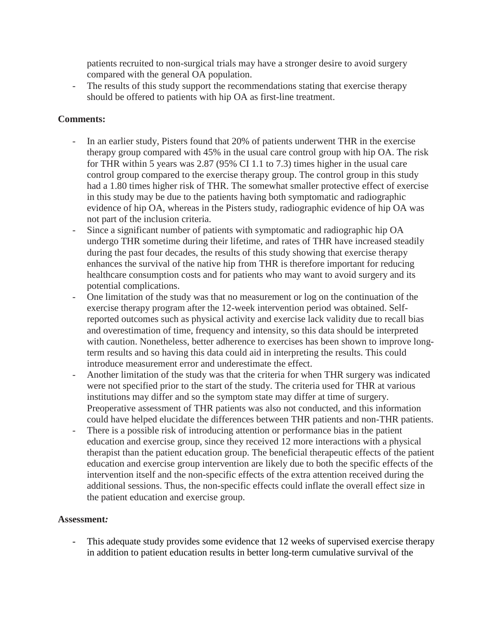patients recruited to non-surgical trials may have a stronger desire to avoid surgery compared with the general OA population.

- The results of this study support the recommendations stating that exercise therapy should be offered to patients with hip OA as first-line treatment.

# **Comments:**

- In an earlier study, Pisters found that 20% of patients underwent THR in the exercise therapy group compared with 45% in the usual care control group with hip OA. The risk for THR within 5 years was 2.87 (95% CI 1.1 to 7.3) times higher in the usual care control group compared to the exercise therapy group. The control group in this study had a 1.80 times higher risk of THR. The somewhat smaller protective effect of exercise in this study may be due to the patients having both symptomatic and radiographic evidence of hip OA, whereas in the Pisters study, radiographic evidence of hip OA was not part of the inclusion criteria.
- Since a significant number of patients with symptomatic and radiographic hip OA undergo THR sometime during their lifetime, and rates of THR have increased steadily during the past four decades, the results of this study showing that exercise therapy enhances the survival of the native hip from THR is therefore important for reducing healthcare consumption costs and for patients who may want to avoid surgery and its potential complications.
- One limitation of the study was that no measurement or log on the continuation of the exercise therapy program after the 12-week intervention period was obtained. Selfreported outcomes such as physical activity and exercise lack validity due to recall bias and overestimation of time, frequency and intensity, so this data should be interpreted with caution. Nonetheless, better adherence to exercises has been shown to improve longterm results and so having this data could aid in interpreting the results. This could introduce measurement error and underestimate the effect.
- Another limitation of the study was that the criteria for when THR surgery was indicated were not specified prior to the start of the study. The criteria used for THR at various institutions may differ and so the symptom state may differ at time of surgery. Preoperative assessment of THR patients was also not conducted, and this information could have helped elucidate the differences between THR patients and non-THR patients.
- There is a possible risk of introducing attention or performance bias in the patient education and exercise group, since they received 12 more interactions with a physical therapist than the patient education group. The beneficial therapeutic effects of the patient education and exercise group intervention are likely due to both the specific effects of the intervention itself and the non-specific effects of the extra attention received during the additional sessions. Thus, the non-specific effects could inflate the overall effect size in the patient education and exercise group.

## **Assessment***:*

- This adequate study provides some evidence that 12 weeks of supervised exercise therapy in addition to patient education results in better long-term cumulative survival of the